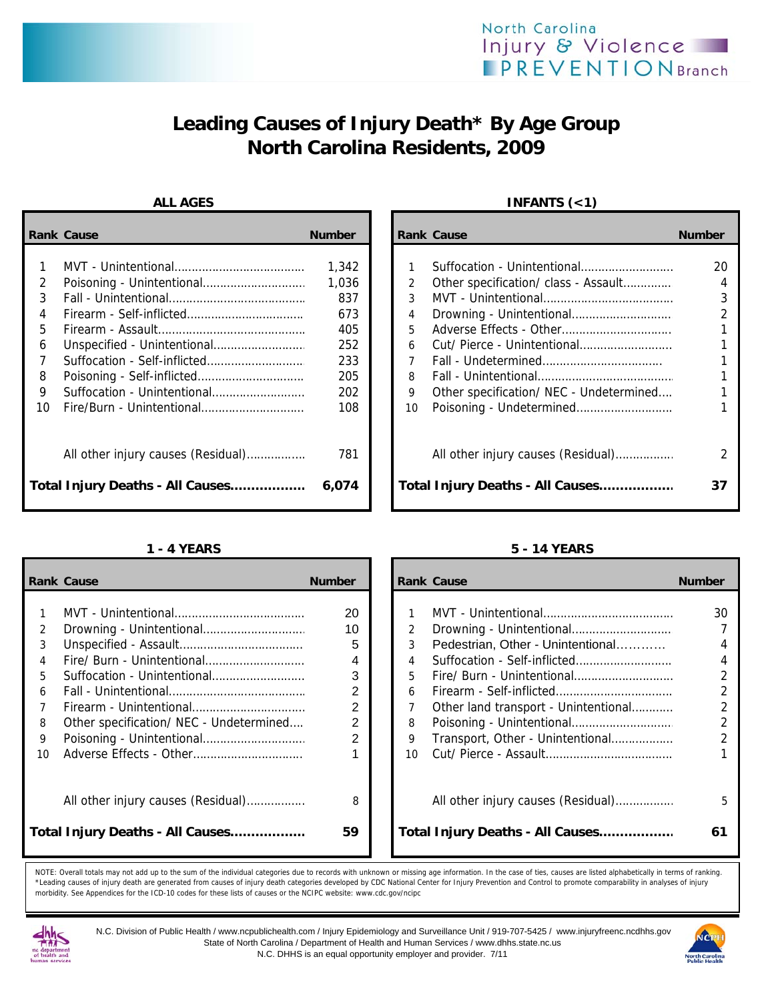# **Leading Causes of Injury Death\* By Age Group North Carolina Residents, 2009**

|    | <b>Rank Cause</b>                  | <b>Number</b> |    | <b>Rank Cause</b>                       | <b>Number</b> |
|----|------------------------------------|---------------|----|-----------------------------------------|---------------|
|    |                                    | 1,342         |    | Suffocation - Unintentional             | 20            |
| 2  |                                    | 1,036         | 2  | Other specification/ class - Assault    | 4             |
| 3  |                                    | 837           | 3  |                                         | 3             |
| 4  |                                    | 673           | 4  |                                         |               |
| 5. |                                    | 405           | 5. |                                         |               |
| 6  |                                    | 252           | 6  |                                         |               |
|    | Suffocation - Self-inflicted       | 233           |    |                                         |               |
| 8  |                                    | 205           | 8  |                                         |               |
| 9  |                                    | 202           | 9  | Other specification/ NEC - Undetermined |               |
| 10 |                                    | 108           | 10 |                                         |               |
|    | All other injury causes (Residual) | 781           |    | All other injury causes (Residual)      | 2             |
|    | Total Injury Deaths - All Causes   | 6,074         |    | Total Injury Deaths - All Causes        | 37            |

|    | <b>Rank Cause</b>                       | <b>Number</b>  |    | <b>Rank Cause</b>                    | <b>Number</b>  |
|----|-----------------------------------------|----------------|----|--------------------------------------|----------------|
|    |                                         |                |    |                                      |                |
|    |                                         | 20             |    |                                      | 30             |
| 2  |                                         | 10             |    |                                      |                |
| 3  |                                         | 5              |    | Pedestrian, Other - Unintentional    | 4              |
|    |                                         | 4              |    |                                      | 4              |
| 5. |                                         | 3              | 5. |                                      | $\overline{2}$ |
| 6  |                                         | 2              | 6  |                                      | $\overline{2}$ |
|    |                                         | $\overline{2}$ |    | Other land transport - Unintentional |                |
| 8  | Other specification/ NEC - Undetermined | 2              | 8  |                                      | $\overline{2}$ |
| 9  |                                         | 2              | 9  | Transport, Other - Unintentional     |                |
| 10 |                                         |                | 10 |                                      |                |
|    | All other injury causes (Residual)      | 8              |    | All other injury causes (Residual)   | 5              |
|    | Total Injury Deaths - All Causes        | 59             |    | Total Injury Deaths - All Causes     | 61             |

### ALL AGES **INFANTS** (<1)

| Cause                              | <b>Number</b> | <b>Rank Cause</b> |                                         | <b>Number</b> |
|------------------------------------|---------------|-------------------|-----------------------------------------|---------------|
|                                    |               |                   |                                         |               |
|                                    | 1,342         |                   | Suffocation - Unintentional             | 20            |
|                                    | 1,036         | $\mathcal{P}$     | Other specification/ class - Assault    |               |
|                                    | 837           | 3                 |                                         |               |
|                                    | 673           | 4                 |                                         |               |
|                                    | 405           | 5                 |                                         |               |
| Unspecified - Unintentional        | 252           | 6                 |                                         |               |
| Suffocation - Self-inflicted       | 233           | 7                 |                                         |               |
| Poisoning - Self-inflicted         | 205           | 8                 |                                         |               |
| Suffocation - Unintentional        | 202           | 9                 | Other specification/ NEC - Undetermined |               |
| Fire/Burn - Unintentional          | 108           | 10                |                                         |               |
| All other injury causes (Residual) | 781           |                   | All other injury causes (Residual)      |               |
| Injury Deaths - All Causes         | 6,074         |                   | Total Injury Deaths - All Causes        |               |

### **1 - 4 YEARS 5 - 14 YEARS**

|    | ank Cause                               | <b>Number</b>  |                 | <b>Rank Cause</b>                    | <b>Number</b>  |
|----|-----------------------------------------|----------------|-----------------|--------------------------------------|----------------|
|    |                                         |                |                 |                                      |                |
| 1  |                                         | 20             |                 |                                      | 30             |
| 2  |                                         | 10             | 2               |                                      |                |
| 3  |                                         | 5              | 3               | Pedestrian, Other - Unintentional    | 4              |
| 4  |                                         | 4              | $\overline{4}$  |                                      | 4              |
| 5. | Suffocation - Unintentional             | 3              | 5.              |                                      | $\overline{2}$ |
| 6  |                                         | 2              | 6               |                                      | $\overline{2}$ |
| 7  |                                         | 2              |                 | Other land transport - Unintentional | $\mathfrak{D}$ |
| 8  | Other specification/ NEC - Undetermined | 2              | 8               |                                      | $\mathfrak{D}$ |
| 9  |                                         | $\overline{2}$ | 9               | Transport, Other - Unintentional     | $\mathfrak{D}$ |
| ١O |                                         |                | 10 <sup>1</sup> |                                      |                |
|    |                                         |                |                 |                                      |                |
|    |                                         |                |                 |                                      |                |
|    | All other injury causes (Residual)      | 8              |                 | All other injury causes (Residual)   | 5              |
|    |                                         |                |                 |                                      |                |
|    | otal Injury Deaths - All Causes         | 59             |                 | Total Injury Deaths - All Causes     | 61             |
|    |                                         |                |                 |                                      |                |

NOTE: Overall totals may not add up to the sum of the individual categories due to records with unknown or missing age information. In the case of ties, causes are listed alphabetically in terms of ranking. \*Leading causes of injury death are generated from causes of injury death categories developed by CDC National Center for Injury Prevention and Control to promote comparability in analyses of injury morbidity. See Appendices for the ICD-10 codes for these lists of causes or the NCIPC website: www.cdc.gov/ncipc



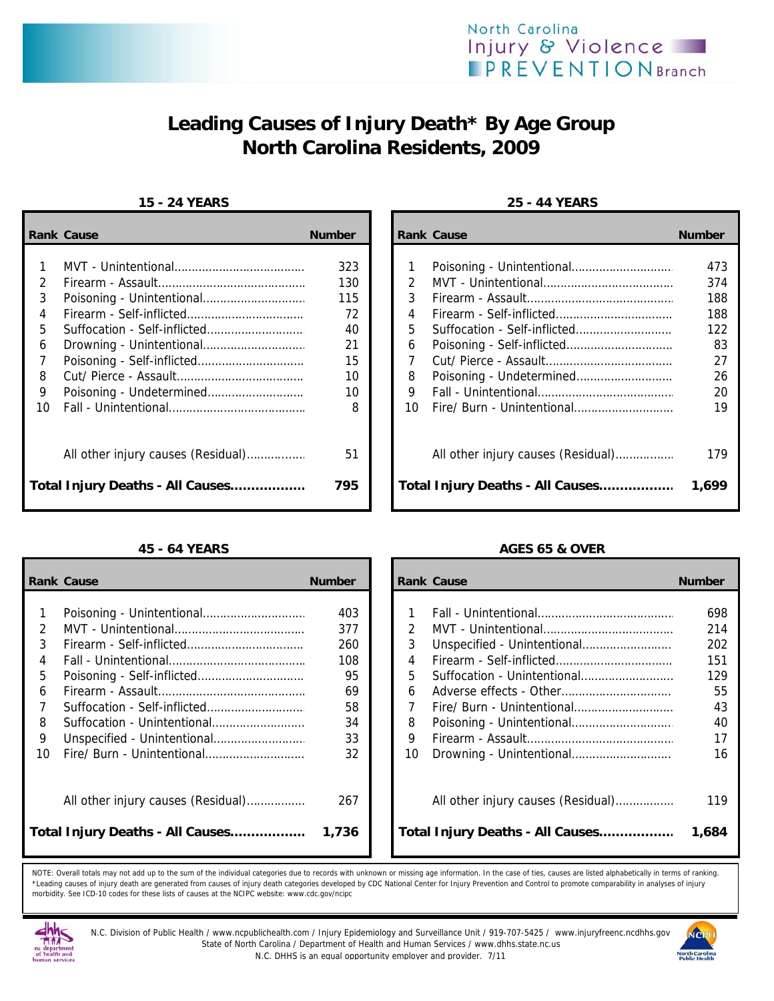

# **Leading Causes of Injury Death\* By Age Group North Carolina Residents, 2009**

### **15 - 24 YEARS 25 - 44 YEARS**

|    | <b>Rank Cause</b>                | <b>Number</b> |    | <b>Rank Cause</b>                  | <b>Number</b> |
|----|----------------------------------|---------------|----|------------------------------------|---------------|
|    |                                  | 323           |    |                                    | 473           |
| 2  |                                  | 130           |    |                                    | 374           |
| 3  |                                  | 115           | 3  |                                    | 188           |
| 4  |                                  | 72            | 4  |                                    | 188           |
| 5  |                                  | 40            | 5  |                                    | 122           |
| 6  |                                  | 21            | 6  |                                    | 83            |
|    |                                  | 15            |    |                                    | 27            |
| 8  |                                  | 10            | 8  |                                    | 26            |
| 9  |                                  | 10            | 9  |                                    | 20            |
| 10 |                                  | 8             | 10 |                                    | 19            |
|    |                                  | 51            |    | All other injury causes (Residual) | 179           |
|    | Total Injury Deaths - All Causes | 795           |    | Total Injury Deaths - All Causes   | 1,699         |

|    | <b>Rank Cause</b>                  | <b>Number</b> |    | <b>Rank Cause</b>                  | <b>Number</b> |
|----|------------------------------------|---------------|----|------------------------------------|---------------|
|    |                                    | 403           |    |                                    | 698           |
|    |                                    | 377           |    |                                    | 214           |
|    |                                    | 260           | 3  |                                    | 202           |
|    |                                    | 108           | 4  |                                    | 151           |
| 5  |                                    | 95            | 5  |                                    | 129           |
|    |                                    | 69            | 6  |                                    | 55            |
|    |                                    | 58            |    |                                    | 43            |
| 8  | Suffocation - Unintentional        | 34            | 8  |                                    | 40            |
| 9  |                                    | 33            | 9  |                                    | 17            |
| 10 |                                    | 32            | 10 |                                    | 16            |
|    | All other injury causes (Residual) | 267           |    | All other injury causes (Residual) | 119           |
|    | Total Injury Deaths - All Causes   | 1,736         |    | Total Injury Deaths - All Causes   | 1,684         |

| Cause                              | <b>Number</b> | <b>Rank Cause</b> |                                    | <b>Number</b> |
|------------------------------------|---------------|-------------------|------------------------------------|---------------|
|                                    |               |                   |                                    |               |
|                                    | 323           |                   |                                    | 473           |
|                                    | 130           | $\mathcal{P}$     |                                    | 374           |
|                                    | 115           | 3                 |                                    | 188           |
|                                    | 72            | 4                 |                                    | 188           |
| Suffocation - Self-inflicted       | 40            | 5                 |                                    | 122           |
|                                    | 21            | 6                 |                                    | 83            |
| Poisoning - Self-inflicted         | 15            |                   |                                    | 27            |
|                                    | 10            | 8                 |                                    | 26            |
|                                    | 10            | 9                 |                                    | 20            |
|                                    | 8             | 10                |                                    | 19            |
| All other injury causes (Residual) | 51            |                   | All other injury causes (Residual) | 179           |
| Injury Deaths - All Causes         | 795           |                   | Total Injury Deaths - All Causes   | 1,699         |

## **45 - 64 YEARS AGES 65 & OVER**

| Cause                              | <b>Number</b> |               | <b>Rank Cause</b>                  | <b>Number</b> |
|------------------------------------|---------------|---------------|------------------------------------|---------------|
|                                    |               |               |                                    |               |
|                                    | 403           |               |                                    | 698           |
|                                    | 377           | $\mathcal{P}$ |                                    | 214           |
|                                    | 260           | 3             |                                    | 202           |
|                                    | 108           | 4             |                                    | 151           |
| Poisoning - Self-inflicted         | 95            | 5             |                                    | 129           |
|                                    | 69            | 6             |                                    | 55            |
| Suffocation - Self-inflicted       | 58            |               |                                    | 43            |
| Suffocation - Unintentional        | 34            | 8             |                                    | 40            |
|                                    | 33            | 9             |                                    | 17            |
| Fire/ Burn - Unintentional         | 32            | 10            |                                    | 16            |
| All other injury causes (Residual) | 267           |               | All other injury causes (Residual) | 119           |
| Injury Deaths - All Causes         | 1,736         |               | Total Injury Deaths - All Causes   | 1,684         |

NOTE: Overall totals may not add up to the sum of the individual categories due to records with unknown or missing age information. In the case of ties, causes are listed alphabetically in terms of ranking. \*Leading causes of injury death are generated from causes of injury death categories developed by CDC National Center for Injury Prevention and Control to promote comparability in analyses of injury morbidity. See ICD-10 codes for these lists of causes at the NCIPC website: www.cdc.gov/ncipc



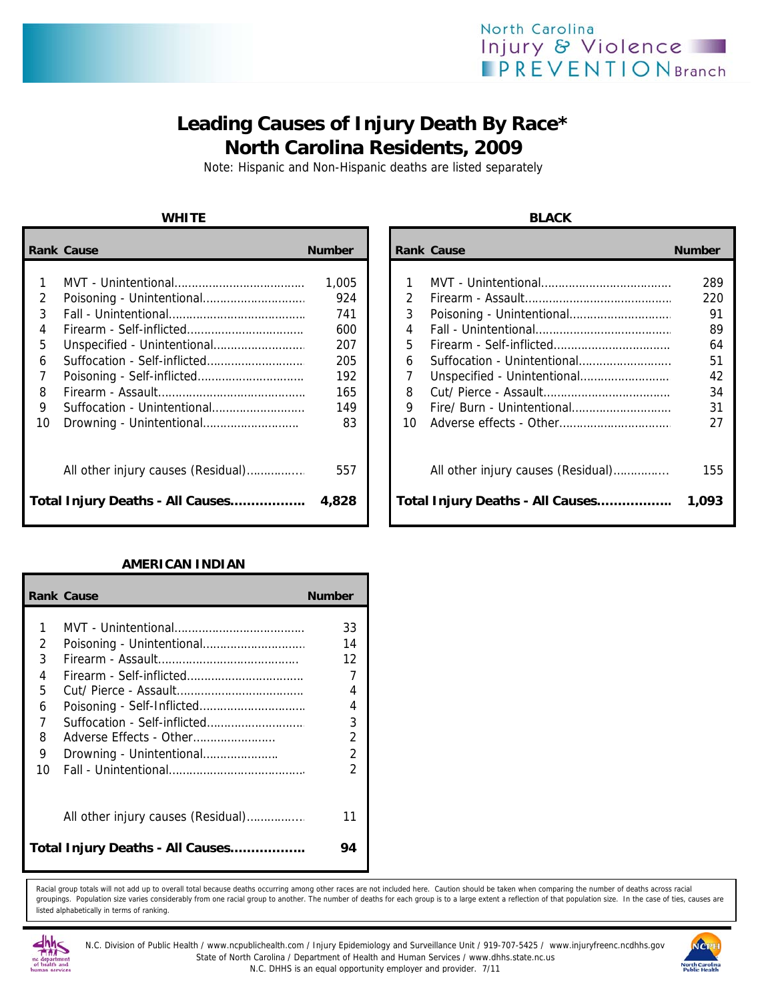## North Carolina Injury & Violence **PREVENTIONBranch**

## **Leading Causes of Injury Death By Race\* North Carolina Residents, 2009**

Note: Hispanic and Non-Hispanic deaths are listed separately

|    | <b>Rank Cause</b>                  | <b>Number</b> |    | <b>Rank Cause</b>                  | <b>Number</b> |
|----|------------------------------------|---------------|----|------------------------------------|---------------|
|    |                                    | 1,005         |    |                                    | 289           |
|    |                                    | 924           | 2  |                                    | 220           |
| 3  |                                    | 741           | 3  |                                    | 91            |
| 4  |                                    | 600           | 4  |                                    | 89            |
| 5. |                                    | 207           | 5  |                                    | 64            |
| 6  |                                    | 205           | 6  |                                    | 51            |
|    |                                    | 192           |    |                                    | 42            |
| 8  |                                    | 165           | 8  |                                    | 34            |
| 9  |                                    | 149           | 9  |                                    | 31            |
| 10 |                                    | 83            | 10 |                                    | 27            |
|    | All other injury causes (Residual) | 557           |    | All other injury causes (Residual) | 155           |
|    | Total Injury Deaths - All Causes   | 4,828         |    | Total Injury Deaths - All Causes   | 1,093         |

### **AMERICAN INDIAN**

|    | <b>Rank Cause</b>                  | <b>Number</b>  |
|----|------------------------------------|----------------|
| 1  |                                    | 33             |
| 2  |                                    | 14             |
| 3  |                                    | 12             |
| 4  | Firearm - Self-inflicted           | 7              |
| 5  |                                    | 4              |
| 6  | Poisoning - Self-Inflicted         | 4              |
| 7  | Suffocation - Self-inflicted       | 3              |
| 8  | Adverse Effects - Other            | $\overline{2}$ |
| 9  | Drowning - Unintentional           | $\mathfrak{D}$ |
| 10 |                                    | 2              |
|    | All other injury causes (Residual) | 11             |
|    | Total Injury Deaths - All Causes   | 94             |

Racial group totals will not add up to overall total because deaths occurring among other races are not included here. Caution should be taken when comparing the number of deaths across racial groupings. Population size varies considerably from one racial group to another. The number of deaths for each group is to a large extent a reflection of that population size. In the case of ties, causes are listed alphabetically in terms of ranking.



N.C. Division of Public Health / www.ncpublichealth.com / Injury Epidemiology and Surveillance Unit / 919-707-5425 / www.injuryfreenc.ncdhhs.gov State of North Carolina / Department of Health and Human Services / www.dhhs.state.nc.us N.C. DHHS is an equal opportunity employer and provider. 7/11



**WHITE BLACK**